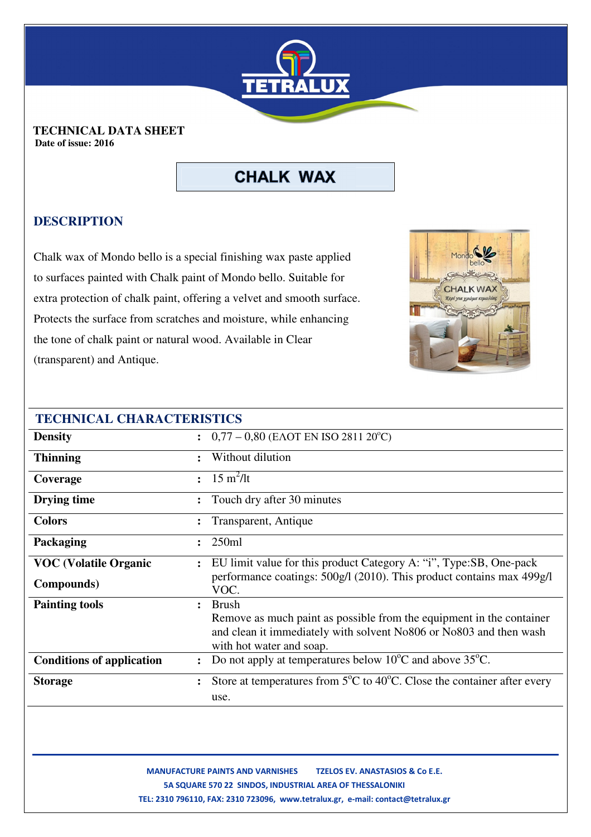

 **TECHNICAL DATA SHEET Date of issue: 2016** 

# **CHALK WAX**

### **DESCRIPTION**

Chalk wax of Mondo bello is a special finishing wax paste applied to surfaces painted with Chalk paint of Mondo bello. Suitable for extra protection of chalk paint, offering a velvet and smooth surface. Protects the surface from scratches and moisture, while enhancing the tone of chalk paint or natural wood. Available in Clear (transparent) and Antique.



| <b>TECHNICAL CHARACTERISTICS</b> |                |                                                                                                                                                                        |
|----------------------------------|----------------|------------------------------------------------------------------------------------------------------------------------------------------------------------------------|
| <b>Density</b>                   |                | $\therefore$ 0,77 – 0,80 (EAOT EN ISO 2811 20°C)                                                                                                                       |
| <b>Thinning</b>                  |                | Without dilution                                                                                                                                                       |
| Coverage                         |                | : $15 \text{ m}^2/\text{lt}$                                                                                                                                           |
| Drying time                      | $\ddot{\cdot}$ | Touch dry after 30 minutes                                                                                                                                             |
| <b>Colors</b>                    |                | Transparent, Antique                                                                                                                                                   |
| Packaging                        |                | 250ml                                                                                                                                                                  |
| <b>VOC (Volatile Organic</b>     | $\ddot{\cdot}$ | EU limit value for this product Category A: "i", Type:SB, One-pack                                                                                                     |
| <b>Compounds</b> )               |                | performance coatings: 500g/l (2010). This product contains max 499g/l<br>VOC.                                                                                          |
| <b>Painting tools</b>            |                | <b>Brush</b>                                                                                                                                                           |
|                                  |                | Remove as much paint as possible from the equipment in the container<br>and clean it immediately with solvent No806 or No803 and then wash<br>with hot water and soap. |
| <b>Conditions of application</b> |                | Do not apply at temperatures below 10 <sup>o</sup> C and above 35 <sup>o</sup> C.                                                                                      |
| <b>Storage</b>                   | $\ddot{\cdot}$ | Store at temperatures from $5^{\circ}$ C to 40 <sup>°</sup> C. Close the container after every                                                                         |
|                                  |                | use.                                                                                                                                                                   |

 **MANUFACTURE PAINTS AND VARNISHES TZELOS EV. ANASTASIOS & Co Ε.Ε. 5A SQUARE 570 22 SINDOS, INDUSTRIAL AREA OF THESSALONIKI ΤEL: 2310 796110, FAX: 2310 723096, www.tetralux.gr, e-mail: contact@tetralux.gr**